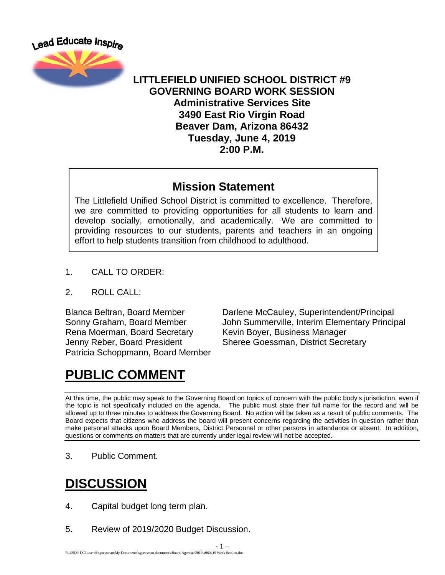

#### **LITTLEFIELD UNIFIED SCHOOL DISTRICT #9 GOVERNING BOARD WORK SESSION Administrative Services Site 3490 East Rio Virgin Road Beaver Dam, Arizona 86432 Tuesday, June 4, 2019 2:00 P.M.**

#### **Mission Statement**

The Littlefield Unified School District is committed to excellence. Therefore, we are committed to providing opportunities for all students to learn and develop socially, emotionally, and academically. We are committed to providing resources to our students, parents and teachers in an ongoing effort to help students transition from childhood to adulthood.

- 1. CALL TO ORDER:
- 2. ROLL CALL:

Rena Moerman, Board Secretary Kevin Boyer, Business Manager Jenny Reber, Board President Sheree Goessman, District Secretary Patricia Schoppmann, Board Member

Blanca Beltran, Board Member Darlene McCauley, Superintendent/Principal Sonny Graham, Board Member John Summerville, Interim Elementary Principal

## **PUBLIC COMMENT**

At this time, the public may speak to the Governing Board on topics of concern with the public body's jurisdiction, even if the topic is not specifically included on the agenda. The public must state their full name for the record and will be allowed up to three minutes to address the Governing Board. No action will be taken as a result of public comments. The Board expects that citizens who address the board will present concerns regarding the activities in question rather than make personal attacks upon Board Members, District Personnel or other persons in attendance or absent. In addition, questions or comments on matters that are currently under legal review will not be accepted.

- 1 –

3. Public Comment.

# **DISCUSSION**

- 4. Capital budget long term plan.
- 5. Review of 2019/2020 Budget Discussion.